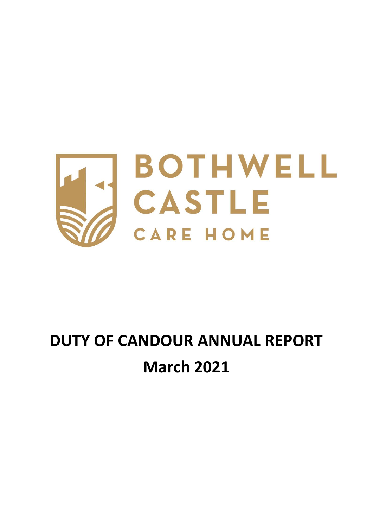

## **DUTY OF CANDOUR ANNUAL REPORT March 2021**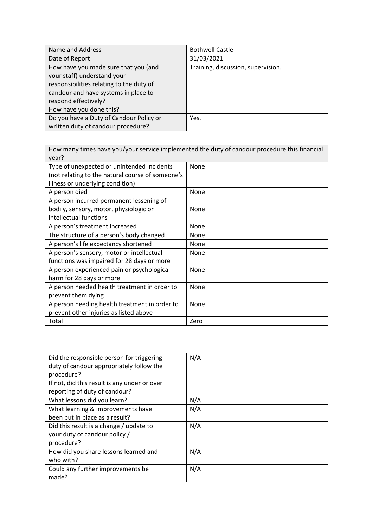| Name and Address                                                                                                                                                                                           | <b>Bothwell Castle</b>             |
|------------------------------------------------------------------------------------------------------------------------------------------------------------------------------------------------------------|------------------------------------|
| Date of Report                                                                                                                                                                                             | 31/03/2021                         |
| How have you made sure that you (and<br>your staff) understand your<br>responsibilities relating to the duty of<br>candour and have systems in place to<br>respond effectively?<br>How have you done this? | Training, discussion, supervision. |
| Do you have a Duty of Candour Policy or<br>written duty of candour procedure?                                                                                                                              | Yes.                               |

| How many times have you/your service implemented the duty of candour procedure this financial<br>year?                             |      |
|------------------------------------------------------------------------------------------------------------------------------------|------|
| Type of unexpected or unintended incidents<br>(not relating to the natural course of someone's<br>illness or underlying condition) | None |
| A person died                                                                                                                      | None |
| A person incurred permanent lessening of<br>bodily, sensory, motor, physiologic or<br>intellectual functions                       | None |
| A person's treatment increased                                                                                                     | None |
| The structure of a person's body changed                                                                                           | None |
| A person's life expectancy shortened                                                                                               | None |
| A person's sensory, motor or intellectual<br>functions was impaired for 28 days or more                                            | None |
| A person experienced pain or psychological<br>harm for 28 days or more                                                             | None |
| A person needed health treatment in order to<br>prevent them dying                                                                 | None |
| A person needing health treatment in order to<br>prevent other injuries as listed above                                            | None |
| Total                                                                                                                              | Zero |

| Did the responsible person for triggering<br>duty of candour appropriately follow the<br>procedure?<br>If not, did this result is any under or over<br>reporting of duty of candour? | N/A |
|--------------------------------------------------------------------------------------------------------------------------------------------------------------------------------------|-----|
| What lessons did you learn?                                                                                                                                                          | N/A |
| What learning & improvements have                                                                                                                                                    | N/A |
| been put in place as a result?                                                                                                                                                       |     |
| Did this result is a change / update to                                                                                                                                              | N/A |
| your duty of candour policy /                                                                                                                                                        |     |
| procedure?                                                                                                                                                                           |     |
| How did you share lessons learned and                                                                                                                                                | N/A |
| who with?                                                                                                                                                                            |     |
| Could any further improvements be                                                                                                                                                    | N/A |
| made?                                                                                                                                                                                |     |